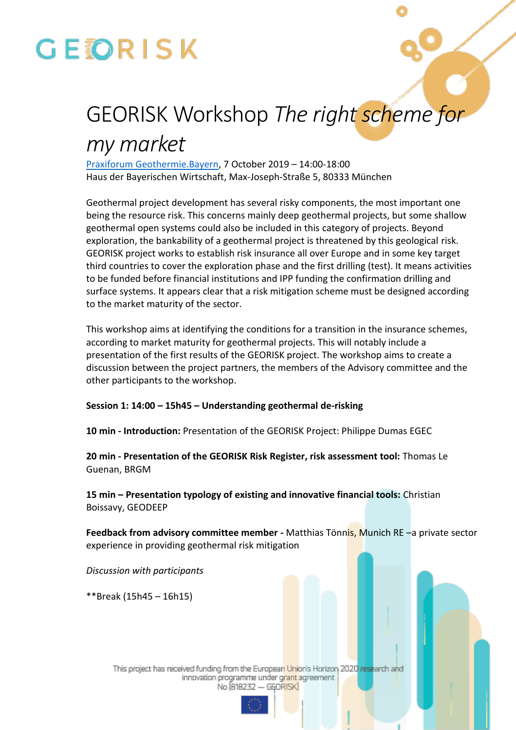# **GEORISK**

## GEORISK Workshop *The right scheme for*

## *my market*

[Praxiforum Geothermie.Bayern,](https://www.praxisforum-geothermie.bayern/en/pfb-2019-program-2019) 7 October 2019 – 14:00-18:00 Haus der Bayerischen Wirtschaft, Max-Joseph-Straße 5, 80333 München

Geothermal project development has several risky components, the most important one being the resource risk. This concerns mainly deep geothermal projects, but some shallow geothermal open systems could also be included in this category of projects. Beyond exploration, the bankability of a geothermal project is threatened by this geological risk. GEORISK project works to establish risk insurance all over Europe and in some key target third countries to cover the exploration phase and the first drilling (test). It means activities to be funded before financial institutions and IPP funding the confirmation drilling and surface systems. It appears clear that a risk mitigation scheme must be designed according to the market maturity of the sector.

This workshop aims at identifying the conditions for a transition in the insurance schemes, according to market maturity for geothermal projects. This will notably include a presentation of the first results of the GEORISK project. The workshop aims to create a discussion between the project partners, the members of the Advisory committee and the other participants to the workshop.

### **Session 1: 14:00 – 15h45 – Understanding geothermal de-risking**

**10 min - Introduction:** Presentation of the GEORISK Project: Philippe Dumas EGEC

**20 min - Presentation of the GEORISK Risk Register, risk assessment tool:** Thomas Le Guenan, BRGM

**15 min – Presentation typology of existing and innovative financial tools:** Christian Boissavy, GEODEEP

**Feedback from advisory committee member -** Matthias Tönnis, Munich RE –a private sector experience in providing geothermal risk mitigation

*Discussion with participants*

\*\*Break (15h45 – 16h15)

This project has received funding from the European Union's Horizon 2020 research and innovation programme under grant agreement No (818232 - GEORISK)